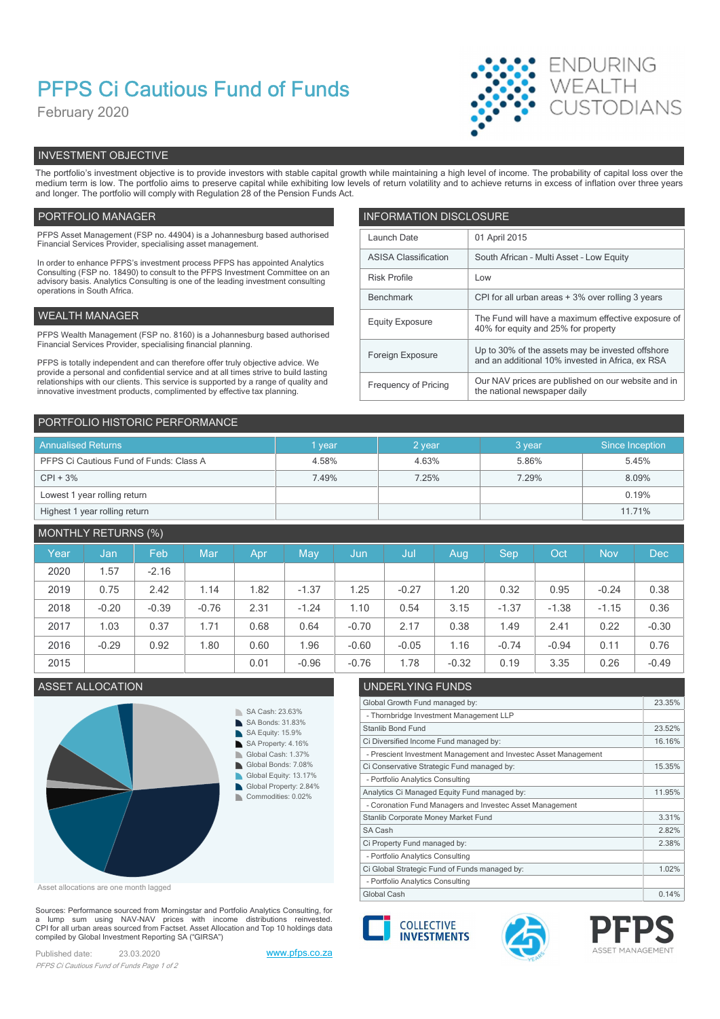# PFPS Ci Cautious Fund of Funds

February 2020



## INVESTMENT OBJECTIVE

The portfolio's investment objective is to provide investors with stable capital growth while maintaining a high level of income. The probability of capital loss over the medium term is low. The portfolio aims to preserve capital while exhibiting low levels of return volatility and to achieve returns in excess of inflation over three years and longer. The portfolio will comply with Regulation 28 of the Pension Funds Act.

### PORTFOLIO MANAGER **INFORMATION DISCLOSURE**

| PFPS Asset Management (FSP no. 44904) is a Johannesburg based authorised<br>Financial Services Provider, specialising asset management.                                                                                                                | Launch Date                 | 01 April 2015                                                                                        |
|--------------------------------------------------------------------------------------------------------------------------------------------------------------------------------------------------------------------------------------------------------|-----------------------------|------------------------------------------------------------------------------------------------------|
| In order to enhance PFPS's investment process PFPS has appointed Analytics                                                                                                                                                                             | <b>ASISA Classification</b> | South African - Multi Asset - Low Equity                                                             |
| Consulting (FSP no. 18490) to consult to the PFPS Investment Committee on an<br>advisory basis. Analytics Consulting is one of the leading investment consulting                                                                                       | <b>Risk Profile</b>         | Low                                                                                                  |
| operations in South Africa.                                                                                                                                                                                                                            | Benchmark                   | CPI for all urban areas + 3% over rolling 3 years                                                    |
| WEALTH MANAGER                                                                                                                                                                                                                                         | <b>Equity Exposure</b>      | The Fund will have a maximum effective exposure of<br>40% for equity and 25% for property            |
| PFPS Wealth Management (FSP no. 8160) is a Johannesburg based authorised<br>Financial Services Provider, specialising financial planning.                                                                                                              |                             |                                                                                                      |
| PFPS is totally independent and can therefore offer truly objective advice. We                                                                                                                                                                         | Foreign Exposure            | Up to 30% of the assets may be invested offshore<br>and an additional 10% invested in Africa, ex RSA |
| provide a personal and confidential service and at all times strive to build lasting<br>relationships with our clients. This service is supported by a range of quality and<br>innovative investment products, complimented by effective tax planning. | Frequency of Pricing        | Our NAV prices are published on our website and in<br>the national newspaper daily                   |
|                                                                                                                                                                                                                                                        |                             |                                                                                                      |

| PORTFOLIO HISTORIC PERFORMANCE          |        |        |        |                 |
|-----------------------------------------|--------|--------|--------|-----------------|
| <b>Annualised Returns</b>               | 1 year | 2 year | 3 year | Since Inception |
| PFPS Ci Cautious Fund of Funds: Class A | 4.58%  | 4.63%  | 5.86%  | 5.45%           |
| $CPI + 3%$                              | 7.49%  | 7.25%  | 7.29%  | 8.09%           |
| Lowest 1 year rolling return            |        |        |        | 0.19%           |
| Highest 1 year rolling return           |        |        |        | 11.71%          |

## MONTHLY RETURNS (%)

| Year | Jan     | Feb     | Mar     | Apr  | May     | Jun,    | Jul     | Aug.    | <b>Sep</b> | Oct     | <b>Nov</b> | <b>Dec</b> |
|------|---------|---------|---------|------|---------|---------|---------|---------|------------|---------|------------|------------|
| 2020 | .57     | $-2.16$ |         |      |         |         |         |         |            |         |            |            |
| 2019 | 0.75    | 2.42    | 1.14    | .82  | $-1.37$ | 1.25    | $-0.27$ | .20     | 0.32       | 0.95    | $-0.24$    | 0.38       |
| 2018 | $-0.20$ | $-0.39$ | $-0.76$ | 2.31 | $-1.24$ | 1.10    | 0.54    | 3.15    | $-1.37$    | $-1.38$ | $-1.15$    | 0.36       |
| 2017 | 1.03    | 0.37    | 1.71    | 0.68 | 0.64    | $-0.70$ | 2.17    | 0.38    | 1.49       | 2.41    | 0.22       | $-0.30$    |
| 2016 | $-0.29$ | 0.92    | 1.80    | 0.60 | .96     | $-0.60$ | $-0.05$ | 1.16    | $-0.74$    | $-0.94$ | 0.11       | 0.76       |
| 2015 |         |         |         | 0.01 | $-0.96$ | $-0.76$ | .78     | $-0.32$ | 0.19       | 3.35    | 0.26       | $-0.49$    |



Asset allocations are one month lagged

Sources: Performance sourced from Morningstar and Portfolio Analytics Consulting, for a lump sum using NAV-NAV prices with income distributions reinvested.<br>CPI for all urban areas sourced from Factset. Asset Allocation and Top 10 holdings data compiled by Global Investment Reporting SA ("GIRSA")

Published date: 23.03.2020 www.pfps.co.za PFPS Ci Cautious Fund of Funds Page 1 of 2

## ASSET ALLOCATION UNDERLYING FUNDS

| Global Growth Fund managed by:                                  | 23.35% |
|-----------------------------------------------------------------|--------|
| - Thornbridge Investment Management LLP                         |        |
| Stanlib Bond Fund                                               | 23.52% |
| Ci Diversified Income Fund managed by:                          | 16.16% |
| - Prescient Investment Management and Investec Asset Management |        |
| Ci Conservative Strategic Fund managed by:                      | 15.35% |
| - Portfolio Analytics Consulting                                |        |
| Analytics Ci Managed Equity Fund managed by:                    | 11.95% |
| - Coronation Fund Managers and Investec Asset Management        |        |
| Stanlib Corporate Money Market Fund                             | 3.31%  |
| SA Cash                                                         | 2.82%  |
| Ci Property Fund managed by:                                    | 2.38%  |
| - Portfolio Analytics Consulting                                |        |
| Ci Global Strategic Fund of Funds managed by:                   | 1.02%  |
| - Portfolio Analytics Consulting                                |        |
| Global Cash                                                     | 0.14%  |